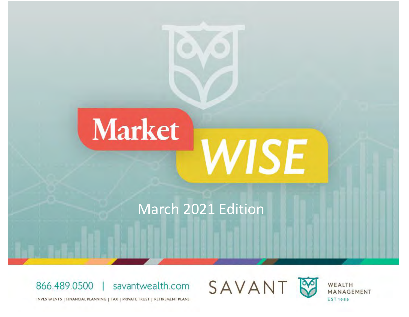

# March 2021 Edition







WEALTH MANAGEMENT **EST 1986** 

INVESTMENTS | FINANCIAL PLANNING | TAX | PRIVATE TRUST | RETIREMENT PLANS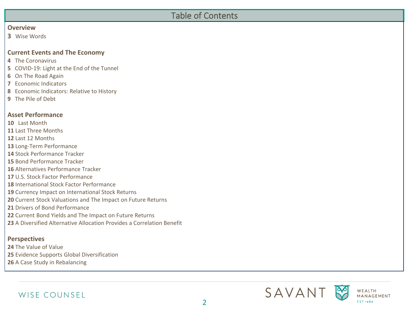## Table of Contents

#### **Overview**

Wise Words

#### **Current Events and The Economy**

- The Coronavirus
- COVID-19: Light at the End of the Tunnel
- On The Road Again
- Economic Indicators
- Economic Indicators: Relative to History
- The Pile of Debt

#### **Asset Performance**

- Last Month
- Last Three Months
- Last 12 Months
- Long-Term Performance
- Stock Performance Tracker
- Bond Performance Tracker
- Alternatives Performance Tracker
- U.S. Stock Factor Performance
- International Stock Factor Performance
- Currency Impact on International Stock Returns
- Current Stock Valuations and The Impact on Future Returns
- Drivers of Bond Performance
- Current Bond Yields and The Impact on Future Returns
- A Diversified Alternative Allocation Provides a Correlation Benefit

#### **Perspectives**

- The Value of Value Evidence Supports Global Diversification
- A Case Study in Rebalancing



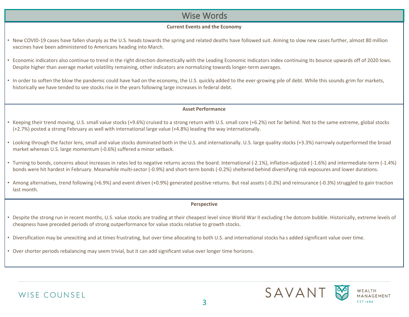#### Wise Words

#### **Current Events and the Economy**

- New COVID-19 cases have fallen sharply as the U.S. heads towards the spring and related deaths have followed suit. Aiming to slow new cases further, almost 80 million vaccines have been administered to Americans heading into March.
- Economic indicators also continue to trend in the right direction domestically with the Leading Economic Indicators index continuing its bounce upwards off of 2020 lows. Despite higher than average market volatility remaining, other indicators are normalizing towards longer-term averages.
- In order to soften the blow the pandemic could have had on the economy, the U.S. quickly added to the ever-growing pile of debt. While this sounds grim for markets, historically we have tended to see stocks rise in the years following large increases in federal debt.

#### **Asset Performance**

- Keeping their trend moving, U.S. small value stocks (+9.6%) cruised to a strong return with U.S. small core (+6.2%) not far behind. Not to the same extreme, global stocks (+2.7%) posted a strong February as well with international large value (+4.8%) leading the way internationally.
- Looking through the factor lens, small and value stocks dominated both in the U.S. and internationally. U.S. large quality stocks (+3.3%) narrowly outperformed the broad market whereas U.S. large momentum (-0.6%) suffered a minor setback.
- Turning to bonds, concerns about increases in rates led to negative returns across the board. International (-2.1%), inflation-adjusted (-1.6%) and intermediate-term (-1.4%) bonds were hit hardest in February. Meanwhile multi-sector (-0.9%) and short-term bonds (-0.2%) sheltered behind diversifying risk exposures and lower durations.
- Among alternatives, trend following (+6.9%) and event driven (+0.9%) generated positive returns. But real assets (-0.2%) and reinsurance (-0.3%) struggled to gain traction last month.

#### **Perspective**

- Despite the strong run in recent months, U.S. value stocks are trading at their cheapest level since World War II excluding t he dotcom bubble. Historically, extreme levels of cheapness have preceded periods of strong outperformance for value stocks relative to growth stocks.
- Diversification may be unexciting and at times frustrating, but over time allocating to both U.S. and international stocks ha s added significant value over time.
- Over shorter periods rebalancing may seem trivial, but it can add significant value over longer time horizons.





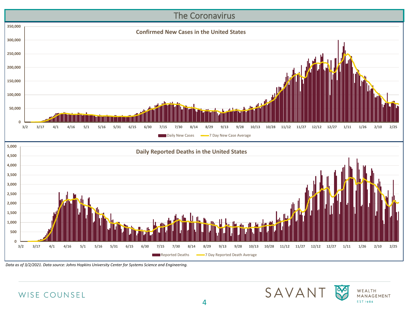

*Data as of 3/2/2021. Data source: Johns Hopkins University Center for Systems Science and Engineering.*





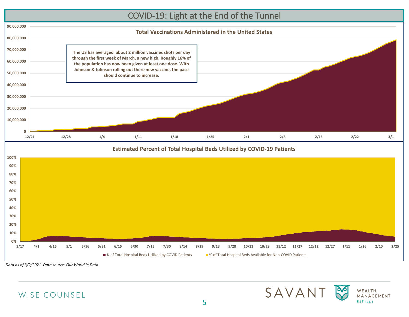## COVID-19: Light at the End of the Tunnel





*Data as of 3/2/2021. Data source: Our World in Data.*





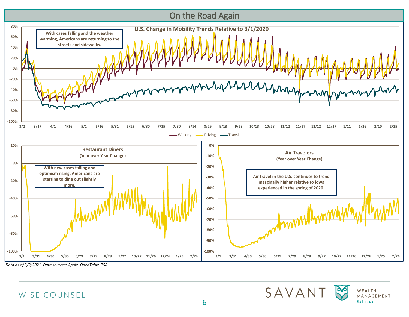

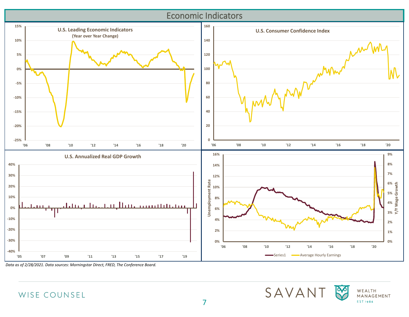# Economic Indicators



*Data as of 2/28/2021. Data sources: Morningstar Direct, FRED, The Conference Board.*



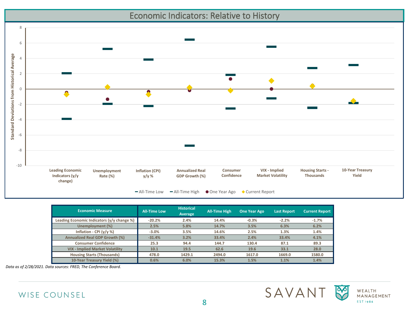Economic Indicators: Relative to History



| <b>Economic Measure</b>                    | <b>All-Time Low</b> | <b>Historical</b><br>Average | <b>All-Time High</b> | <b>One Year Ago</b> | Last Report | <b>Current Report</b> |
|--------------------------------------------|---------------------|------------------------------|----------------------|---------------------|-------------|-----------------------|
| Leading Economic Indicators (y/y change %) | $-20.2%$            | 2.4%                         | 14.4%                | $-0.3%$             | $-2.2%$     | $-1.7%$               |
| Unemployment (%)                           | 2.5%                | 5.8%                         | 14.7%                | 3.5%                | 6.3%        | 6.2%                  |
| Inflation - CPI $(y/y %)$                  | $-3.0%$             | 3.5%                         | 14.6%                | 2.5%                | 1.3%        | 1.4%                  |
| Annualized Real GDP Growth (%)             | $-31.4%$            | 3.2%                         | 33.4%                | 2.4%                | 33.4%       | 4.1%                  |
| <b>Consumer Confidence</b>                 | 25.3                | 94.4                         | 144.7                | 130.4               | 87.1        | 89.3                  |
| <b>VIX - Implied Market Volatility</b>     | 10.1                | 19.5                         | 62.6                 | 19.6                | 33.1        | 28.0                  |
| <b>Housing Starts (Thousands)</b>          | 478.0               | 1429.1                       | 2494.0               | 1617.0              | 1669.0      | 1580.0                |
| 10-Year Treasury Yield (%)                 | 0.6%                | 6.0%                         | 15.3%                | 1.5%                | 1.1%        | 1.4%                  |

*Data as of 2/28/2021. Data sources: FRED, The Conference Board.*





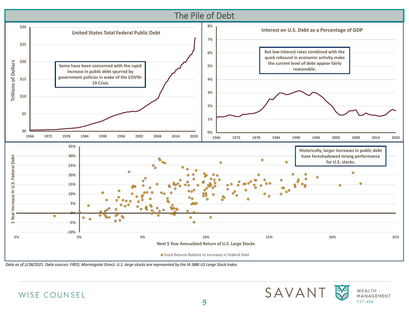

*Data as of 2/28/2021. Data sources: FRED, Morningstar Direct. U.S. large stocks are represented by the IA SBBI US Large Stock Index.*





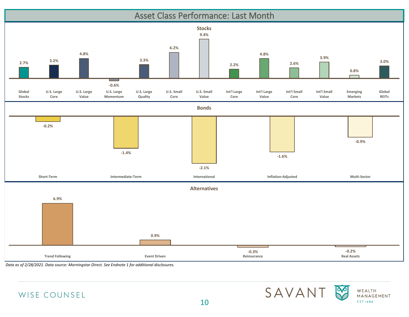



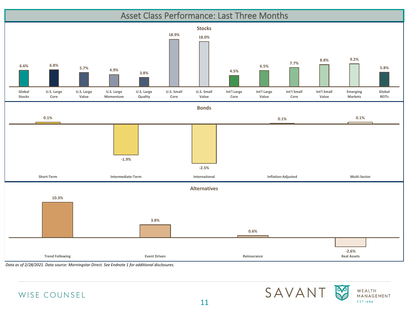





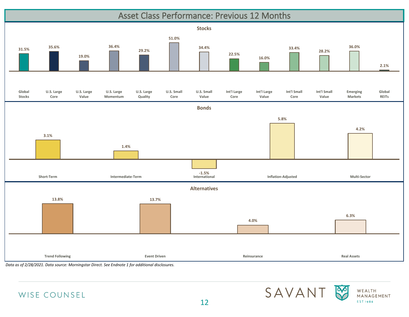

12



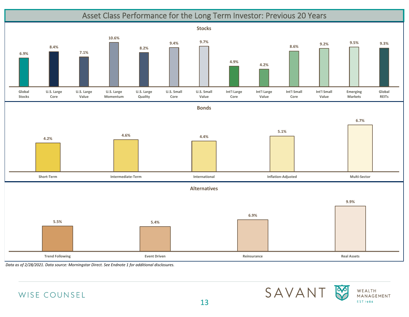





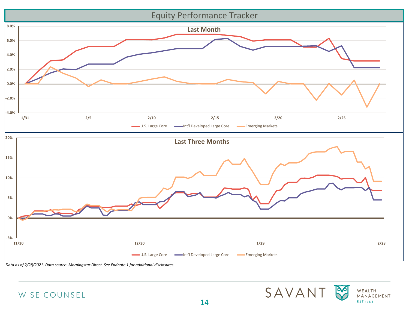



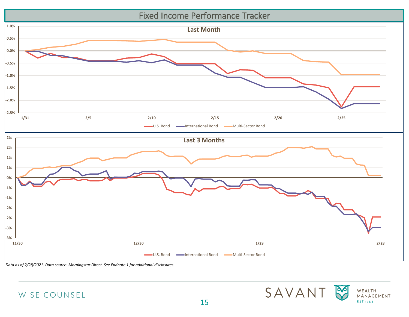



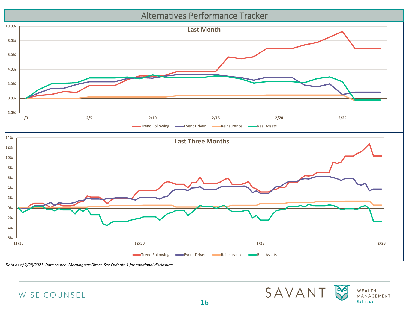



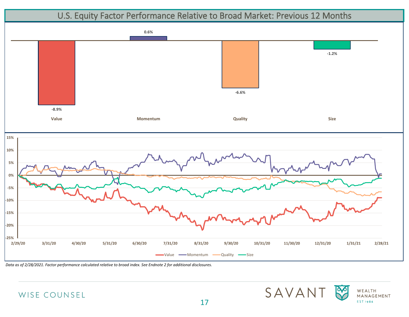

*Data as of 2/28/2021. Factor performance calculated relative to broad index. See Endnote 2 for additional disclosures.*





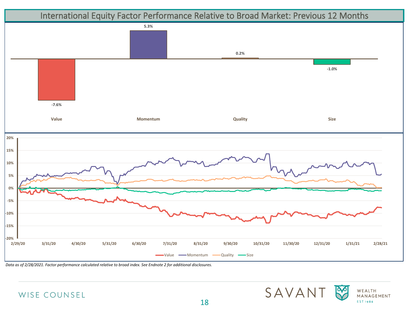

*Data as of 2/28/2021. Factor performance calculated relative to broad index. See Endnote 2 for additional disclosures.*





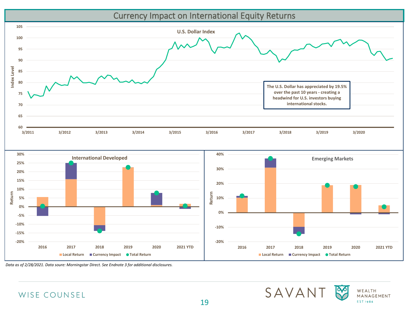#### Currency Impact on International Equity Returns









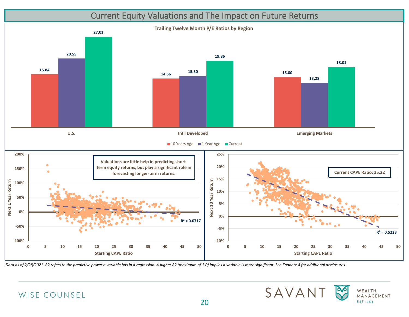## Current Equity Valuations and The Impact on Future Returns



*Data as of 2/28/2021. R2 refers to the predictive power a variable has in a regression. A higher R2 (maximum of 1.0) implies a variable is more significant. See Endnote 4 for additional disclosures.*



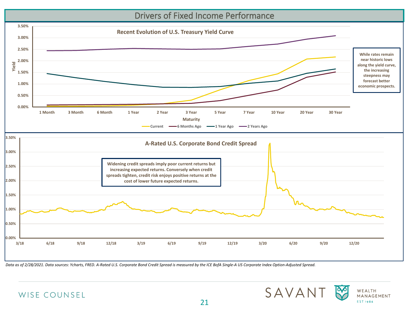#### Drivers of Fixed Income Performance





*Data as of 2/28/2021. Data sources: Ycharts, FRED. A-Rated U.S. Corporate Bond Credit Spread is measured by the ICE BofA Single-A US Corporate Index Option-Adjusted Spread.*



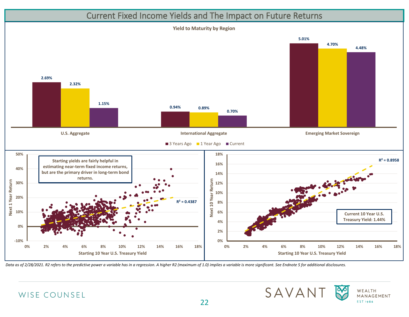## Current Fixed Income Yields and The Impact on Future Returns



*Data as of 2/28/2021. R2 refers to the predictive power a variable has in a regression. A higher R2 (maximum of 1.0) implies a variable is more significant. See Endnote 5 for additional disclosures.*





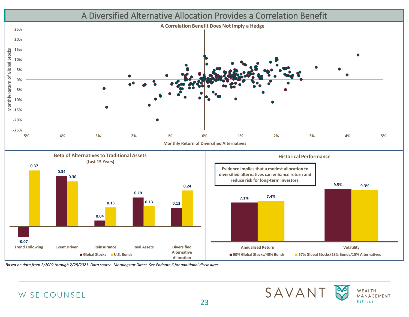

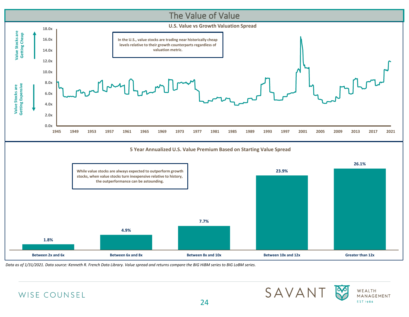

*Data as of 1/31/2021. Data source: Kenneth R. French Data Library. Value spread and returns compare the BIG HiBM series to BIG LoBM series.*





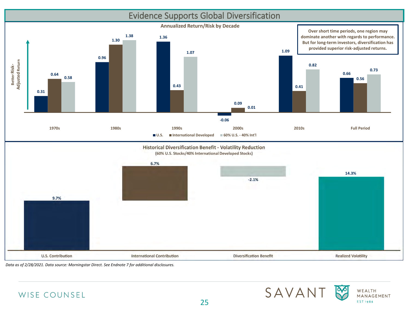



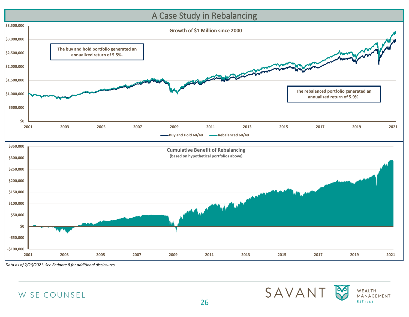

*Data as of 2/26/2021. See Endnote 8 for additional disclosures.*